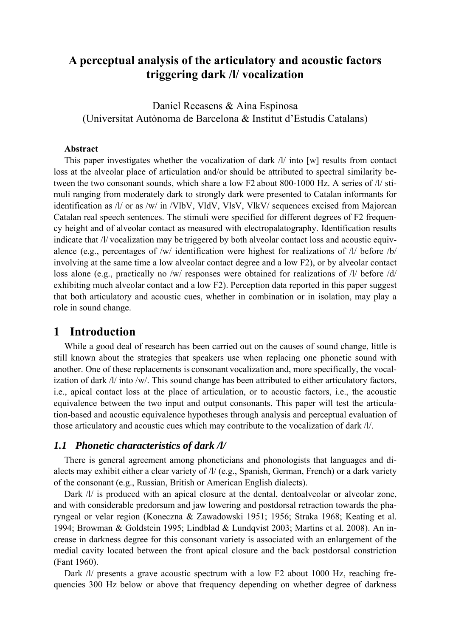# **A perceptual analysis of the articulatory and acoustic factors triggering dark /l/ vocalization**

Daniel Recasens & Aina Espinosa (Universitat Autònoma de Barcelona & Institut d'Estudis Catalans)

#### **Abstract**

This paper investigates whether the vocalization of dark /l/ into [w] results from contact loss at the alveolar place of articulation and/or should be attributed to spectral similarity between the two consonant sounds, which share a low F2 about 800-1000 Hz. A series of /l/ stimuli ranging from moderately dark to strongly dark were presented to Catalan informants for identification as /l/ or as /w/ in /VlbV, VldV, VlsV, VlkV/ sequences excised from Majorcan Catalan real speech sentences. The stimuli were specified for different degrees of F2 frequency height and of alveolar contact as measured with electropalatography. Identification results indicate that /l/ vocalization may be triggered by both alveolar contact loss and acoustic equivalence (e.g., percentages of /w/ identification were highest for realizations of /l/ before /b/ involving at the same time a low alveolar contact degree and a low F2), or by alveolar contact loss alone (e.g., practically no /w/ responses were obtained for realizations of /l/ before /d/ exhibiting much alveolar contact and a low F2). Perception data reported in this paper suggest that both articulatory and acoustic cues, whether in combination or in isolation, may play a role in sound change.

### **1 Introduction**

While a good deal of research has been carried out on the causes of sound change, little is still known about the strategies that speakers use when replacing one phonetic sound with another. One of these replacements is consonant vocalization and, more specifically, the vocalization of dark /l/ into /w/. This sound change has been attributed to either articulatory factors, i.e., apical contact loss at the place of articulation, or to acoustic factors, i.e., the acoustic equivalence between the two input and output consonants. This paper will test the articulation-based and acoustic equivalence hypotheses through analysis and perceptual evaluation of those articulatory and acoustic cues which may contribute to the vocalization of dark /l/.

### *1.1 Phonetic characteristics of dark /l/*

There is general agreement among phoneticians and phonologists that languages and dialects may exhibit either a clear variety of /l/ (e.g., Spanish, German, French) or a dark variety of the consonant (e.g., Russian, British or American English dialects).

Dark /l/ is produced with an apical closure at the dental, dentoalveolar or alveolar zone, and with considerable predorsum and jaw lowering and postdorsal retraction towards the pharyngeal or velar region (Koneczna & Zawadowski 1951; 1956; Straka 1968; Keating et al. 1994; Browman & Goldstein 1995; Lindblad & Lundqvist 2003; Martins et al. 2008). An increase in darkness degree for this consonant variety is associated with an enlargement of the medial cavity located between the front apical closure and the back postdorsal constriction (Fant 1960).

Dark /l/ presents a grave acoustic spectrum with a low F2 about 1000 Hz, reaching frequencies 300 Hz below or above that frequency depending on whether degree of darkness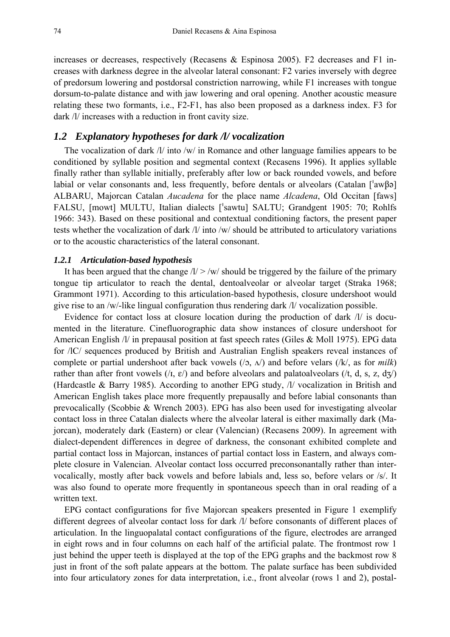increases or decreases, respectively (Recasens & Espinosa 2005). F2 decreases and F1 increases with darkness degree in the alveolar lateral consonant: F2 varies inversely with degree of predorsum lowering and postdorsal constriction narrowing, while F1 increases with tongue dorsum-to-palate distance and with jaw lowering and oral opening. Another acoustic measure relating these two formants, i.e., F2-F1, has also been proposed as a darkness index. F3 for dark /l/ increases with a reduction in front cavity size.

### *1.2 Explanatory hypotheses for dark /l/ vocalization*

The vocalization of dark /l/ into /w/ in Romance and other language families appears to be conditioned by syllable position and segmental context (Recasens 1996). It applies syllable finally rather than syllable initially, preferably after low or back rounded vowels, and before labial or velar consonants and, less frequently, before dentals or alveolars (Catalan [ $aw\beta\phi$ ] ALBARU, Majorcan Catalan *Aucadena* for the place name *Alcadena*, Old Occitan [faws] FALSU, [mowt] MULTU, Italian dialects ['sawtu] SALTU; Grandgent 1905: 70; Rohlfs 1966: 343). Based on these positional and contextual conditioning factors, the present paper tests whether the vocalization of dark /l/ into /w/ should be attributed to articulatory variations or to the acoustic characteristics of the lateral consonant.

#### *1.2.1 Articulation-based hypothesis*

It has been argued that the change  $\sqrt{l}$  > /w/ should be triggered by the failure of the primary tongue tip articulator to reach the dental, dentoalveolar or alveolar target (Straka 1968; Grammont 1971). According to this articulation-based hypothesis, closure undershoot would give rise to an /w/-like lingual configuration thus rendering dark /l/ vocalization possible.

Evidence for contact loss at closure location during the production of dark /l/ is documented in the literature. Cinefluorographic data show instances of closure undershoot for American English /l/ in prepausal position at fast speech rates (Giles & Moll 1975). EPG data for /lC/ sequences produced by British and Australian English speakers reveal instances of complete or partial undershoot after back vowels  $(2, \Lambda)$  and before velars  $(|k\rangle,$  as for *milk*) rather than after front vowels ( $\lambda$ ,  $\varepsilon$ ) and before alveolars and palatoalveolars ( $\lambda$ , d, s, z, dz) (Hardcastle & Barry 1985). According to another EPG study, /l/ vocalization in British and American English takes place more frequently prepausally and before labial consonants than prevocalically (Scobbie & Wrench 2003). EPG has also been used for investigating alveolar contact loss in three Catalan dialects where the alveolar lateral is either maximally dark (Majorcan), moderately dark (Eastern) or clear (Valencian) (Recasens 2009). In agreement with dialect-dependent differences in degree of darkness, the consonant exhibited complete and partial contact loss in Majorcan, instances of partial contact loss in Eastern, and always complete closure in Valencian. Alveolar contact loss occurred preconsonantally rather than intervocalically, mostly after back vowels and before labials and, less so, before velars or /s/. It was also found to operate more frequently in spontaneous speech than in oral reading of a written text.

EPG contact configurations for five Majorcan speakers presented in Figure 1 exemplify different degrees of alveolar contact loss for dark /l/ before consonants of different places of articulation. In the linguopalatal contact configurations of the figure, electrodes are arranged in eight rows and in four columns on each half of the artificial palate. The frontmost row 1 just behind the upper teeth is displayed at the top of the EPG graphs and the backmost row 8 just in front of the soft palate appears at the bottom. The palate surface has been subdivided into four articulatory zones for data interpretation, i.e., front alveolar (rows 1 and 2), postal-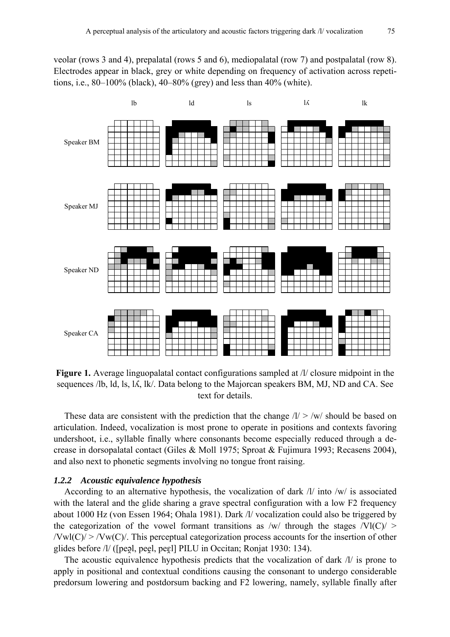veolar (rows 3 and 4), prepalatal (rows 5 and 6), mediopalatal (row 7) and postpalatal (row 8). Electrodes appear in black, grey or white depending on frequency of activation across repetitions, i.e., 80–100% (black), 40–80% (grey) and less than 40% (white).



**Figure 1.** Average linguopalatal contact configurations sampled at /l/ closure midpoint in the sequences /lb, ld, ls, ls, lk/. Data belong to the Majorcan speakers BM, MJ, ND and CA. See text for details.

These data are consistent with the prediction that the change  $1/$  > /w/ should be based on articulation. Indeed, vocalization is most prone to operate in positions and contexts favoring undershoot, i.e., syllable finally where consonants become especially reduced through a decrease in dorsopalatal contact (Giles & Moll 1975; Sproat & Fujimura 1993; Recasens 2004), and also next to phonetic segments involving no tongue front raising.

#### *1.2.2 Acoustic equivalence hypothesis*

According to an alternative hypothesis, the vocalization of dark /l/ into /w/ is associated with the lateral and the glide sharing a grave spectral configuration with a low F2 frequency about 1000 Hz (von Essen 1964; Ohala 1981). Dark /l/ vocalization could also be triggered by the categorization of the vowel formant transitions as  $/w/$  through the stages  $/VI(C)$  >  $/Vwl(C)$  >  $/Vw(C)$ . This perceptual categorization process accounts for the insertion of other glides before /l/ ([peəl, peel, peɛl] PILU in Occitan; Ronjat 1930: 134).

The acoustic equivalence hypothesis predicts that the vocalization of dark /l/ is prone to apply in positional and contextual conditions causing the consonant to undergo considerable predorsum lowering and postdorsum backing and F2 lowering, namely, syllable finally after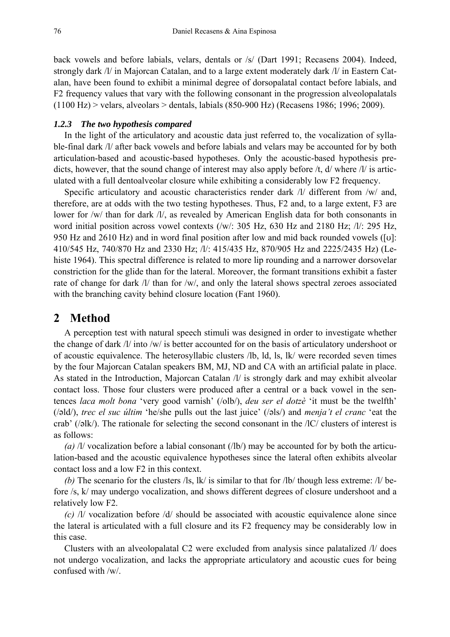back vowels and before labials, velars, dentals or /s/ (Dart 1991; Recasens 2004). Indeed, strongly dark /l/ in Majorcan Catalan, and to a large extent moderately dark /l/ in Eastern Catalan, have been found to exhibit a minimal degree of dorsopalatal contact before labials, and F2 frequency values that vary with the following consonant in the progression alveolopalatals (1100 Hz) > velars, alveolars > dentals, labials (850-900 Hz) (Recasens 1986; 1996; 2009).

#### *1.2.3 The two hypothesis compared*

In the light of the articulatory and acoustic data just referred to, the vocalization of syllable-final dark /l/ after back vowels and before labials and velars may be accounted for by both articulation-based and acoustic-based hypotheses. Only the acoustic-based hypothesis predicts, however, that the sound change of interest may also apply before /t, d/ where /l/ is articulated with a full dentoalveolar closure while exhibiting a considerably low F2 frequency.

Specific articulatory and acoustic characteristics render dark  $\Lambda$  different from /w/ and, therefore, are at odds with the two testing hypotheses. Thus, F2 and, to a large extent, F3 are lower for /w/ than for dark /l/, as revealed by American English data for both consonants in word initial position across vowel contexts (/w/: 305 Hz, 630 Hz and 2180 Hz; /l/: 295 Hz, 950 Hz and 2610 Hz) and in word final position after low and mid back rounded vowels ([v]: 410/545 Hz, 740/870 Hz and 2330 Hz; /l/: 415/435 Hz, 870/905 Hz and 2225/2435 Hz) (Lehiste 1964). This spectral difference is related to more lip rounding and a narrower dorsovelar constriction for the glide than for the lateral. Moreover, the formant transitions exhibit a faster rate of change for dark /l/ than for /w/, and only the lateral shows spectral zeroes associated with the branching cavity behind closure location (Fant 1960).

## **2 Method**

A perception test with natural speech stimuli was designed in order to investigate whether the change of dark /l/ into /w/ is better accounted for on the basis of articulatory undershoot or of acoustic equivalence. The heterosyllabic clusters /lb, ld, ls, lk/ were recorded seven times by the four Majorcan Catalan speakers BM, MJ, ND and CA with an artificial palate in place. As stated in the Introduction, Majorcan Catalan /l/ is strongly dark and may exhibit alveolar contact loss. Those four clusters were produced after a central or a back vowel in the sentences *laca molt bona* 'very good varnish' (/olb/), *deu ser el dotzè* 'it must be the twelfth' (/ald/), *trec el suc últim* 'he/she pulls out the last juice' (/als/) and *menja't el cranc* 'eat the crab' ( $\sqrt{elk}$ ). The rationale for selecting the second consonant in the  $\sqrt{C}$  clusters of interest is as follows:

*(a)* /l/ vocalization before a labial consonant (/lb/) may be accounted for by both the articulation-based and the acoustic equivalence hypotheses since the lateral often exhibits alveolar contact loss and a low F2 in this context.

*(b)* The scenario for the clusters /ls, lk/ is similar to that for /lb/ though less extreme: /l/ before /s, k/ may undergo vocalization, and shows different degrees of closure undershoot and a relatively low F2.

*(c)* /l/ vocalization before /d/ should be associated with acoustic equivalence alone since the lateral is articulated with a full closure and its F2 frequency may be considerably low in this case.

Clusters with an alveolopalatal C2 were excluded from analysis since palatalized /l/ does not undergo vocalization, and lacks the appropriate articulatory and acoustic cues for being confused with /w/.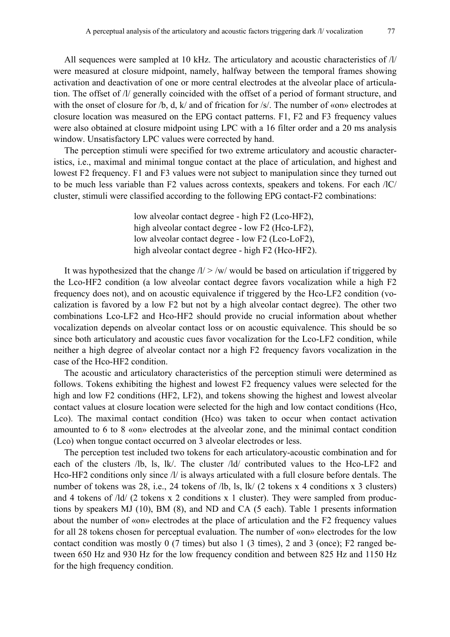All sequences were sampled at 10 kHz. The articulatory and acoustic characteristics of /l/ were measured at closure midpoint, namely, halfway between the temporal frames showing activation and deactivation of one or more central electrodes at the alveolar place of articulation. The offset of /l/ generally coincided with the offset of a period of formant structure, and with the onset of closure for  $/b$ , d, k/ and of frication for /s/. The number of «on» electrodes at closure location was measured on the EPG contact patterns. F1, F2 and F3 frequency values were also obtained at closure midpoint using LPC with a 16 filter order and a 20 ms analysis window. Unsatisfactory LPC values were corrected by hand.

The perception stimuli were specified for two extreme articulatory and acoustic characteristics, i.e., maximal and minimal tongue contact at the place of articulation, and highest and lowest F2 frequency. F1 and F3 values were not subject to manipulation since they turned out to be much less variable than F2 values across contexts, speakers and tokens. For each /lC/ cluster, stimuli were classified according to the following EPG contact-F2 combinations:

> low alveolar contact degree - high F2 (Lco-HF2), high alveolar contact degree - low F2 (Hco-LF2), low alveolar contact degree - low F2 (Lco-LoF2), high alveolar contact degree - high F2 (Hco-HF2).

It was hypothesized that the change  $\sqrt{l}/\sqrt{w}$  would be based on articulation if triggered by the Lco-HF2 condition (a low alveolar contact degree favors vocalization while a high F2 frequency does not), and on acoustic equivalence if triggered by the Hco-LF2 condition (vocalization is favored by a low F2 but not by a high alveolar contact degree). The other two combinations Lco-LF2 and Hco-HF2 should provide no crucial information about whether vocalization depends on alveolar contact loss or on acoustic equivalence. This should be so since both articulatory and acoustic cues favor vocalization for the Lco-LF2 condition, while neither a high degree of alveolar contact nor a high F2 frequency favors vocalization in the case of the Hco-HF2 condition.

The acoustic and articulatory characteristics of the perception stimuli were determined as follows. Tokens exhibiting the highest and lowest F2 frequency values were selected for the high and low F2 conditions (HF2, LF2), and tokens showing the highest and lowest alveolar contact values at closure location were selected for the high and low contact conditions (Hco, Lco). The maximal contact condition (Hco) was taken to occur when contact activation amounted to 6 to 8 «on» electrodes at the alveolar zone, and the minimal contact condition (Lco) when tongue contact occurred on 3 alveolar electrodes or less.

The perception test included two tokens for each articulatory-acoustic combination and for each of the clusters /lb, ls, lk/. The cluster /ld/ contributed values to the Hco-LF2 and Hco-HF2 conditions only since /l/ is always articulated with a full closure before dentals. The number of tokens was 28, i.e., 24 tokens of *l* b, ls, lk/ (2 tokens x 4 conditions x 3 clusters) and 4 tokens of /ld/ (2 tokens x 2 conditions x 1 cluster). They were sampled from productions by speakers MJ (10), BM (8), and ND and CA (5 each). Table 1 presents information about the number of «on» electrodes at the place of articulation and the F2 frequency values for all 28 tokens chosen for perceptual evaluation. The number of «on» electrodes for the low contact condition was mostly 0 (7 times) but also 1 (3 times), 2 and 3 (once); F2 ranged between 650 Hz and 930 Hz for the low frequency condition and between 825 Hz and 1150 Hz for the high frequency condition.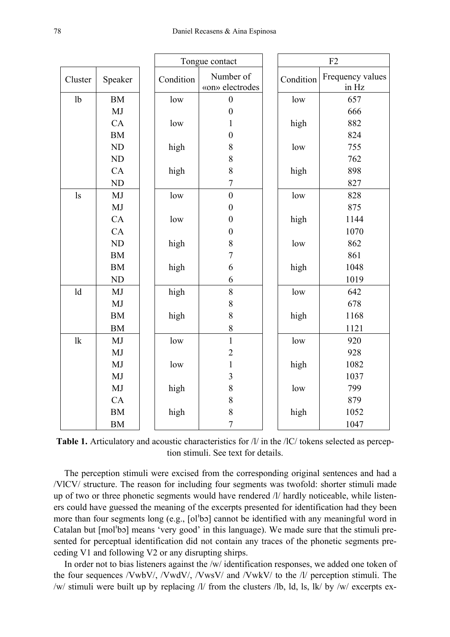|                |                | Tongue contact |           | F2                           |           |                           |
|----------------|----------------|----------------|-----------|------------------------------|-----------|---------------------------|
| Cluster        | Speaker        |                | Condition | Number of<br>«on» electrodes | Condition | Frequency values<br>in Hz |
| 1 <sub>b</sub> | <b>BM</b>      |                | low       | $\boldsymbol{0}$             | low       | 657                       |
|                | MJ             |                |           | $\boldsymbol{0}$             |           | 666                       |
|                | CA             |                | low       | $\mathbf{1}$                 | high      | 882                       |
|                | <b>BM</b>      |                |           | $\mathbf{0}$                 |           | 824                       |
|                | ND             |                | high      | 8                            | low       | 755                       |
|                | ND             |                |           | 8                            |           | 762                       |
|                | CA             |                | high      | 8                            | high      | 898                       |
|                | N <sub>D</sub> |                |           | $\overline{7}$               |           | 827                       |
| $\lg$          | MJ             |                | low       | $\overline{0}$               | low       | 828                       |
|                | MJ             |                |           | $\boldsymbol{0}$             |           | 875                       |
|                | CA             |                | low       | $\boldsymbol{0}$             | high      | 1144                      |
|                | CA             |                |           | $\boldsymbol{0}$             |           | 1070                      |
|                | <b>ND</b>      |                | high      | 8                            | low       | 862                       |
|                | <b>BM</b>      |                |           | $\overline{7}$               |           | 861                       |
|                | <b>BM</b>      |                | high      | 6                            | high      | 1048                      |
|                | N <sub>D</sub> |                |           | 6                            |           | 1019                      |
| ld             | MJ             |                | high      | 8                            | low       | 642                       |
|                | MJ             |                |           | 8                            |           | 678                       |
|                | <b>BM</b>      |                | high      | 8                            | high      | 1168                      |
|                | <b>BM</b>      |                |           | 8                            |           | 1121                      |
| 1k             | MJ             |                | low       | $\mathbf{1}$                 | low       | 920                       |
|                | MJ             |                |           | $\overline{2}$               |           | 928                       |
|                | MJ             |                | low       | $\mathbf{1}$                 | high      | 1082                      |
|                | MJ             |                |           | $\overline{3}$               |           | 1037                      |
|                | MJ             |                | high      | $\,$ 8 $\,$                  | low       | 799                       |
|                | CA             |                |           | 8                            |           | 879                       |
|                | <b>BM</b>      |                | high      | 8                            | high      | 1052                      |
|                | <b>BM</b>      |                |           | $\sqrt{ }$                   |           | 1047                      |

**Table 1.** Articulatory and acoustic characteristics for /l/ in the /lC/ tokens selected as perception stimuli. See text for details.

The perception stimuli were excised from the corresponding original sentences and had a /VlCV/ structure. The reason for including four segments was twofold: shorter stimuli made up of two or three phonetic segments would have rendered /l/ hardly noticeable, while listeners could have guessed the meaning of the excerpts presented for identification had they been more than four segments long (e.g.,  $\lceil o \rceil$ bo) cannot be identified with any meaningful word in Catalan but  $[mol'b]$  means 'very good' in this language). We made sure that the stimuli presented for perceptual identification did not contain any traces of the phonetic segments preceding V1 and following V2 or any disrupting shirps.

In order not to bias listeners against the /w/ identification responses, we added one token of the four sequences /VwbV/, /VwdV/, /VwsV/ and /VwkV/ to the /l/ perception stimuli. The /w/ stimuli were built up by replacing /l/ from the clusters /lb, ld, ls, lk/ by /w/ excerpts ex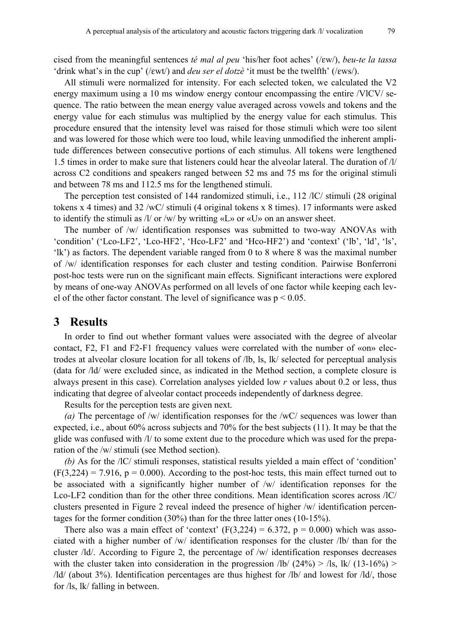cised from the meaningful sentences *té mal al peu* 'his/her foot aches' (/*εw/*), *beu-te la tassa* 'drink what's in the cup' (/ewt/) and *deu ser el dotzè* 'it must be the twelfth' (/ews/).

All stimuli were normalized for intensity. For each selected token, we calculated the V2 energy maximum using a 10 ms window energy contour encompassing the entire /VlCV/ sequence. The ratio between the mean energy value averaged across vowels and tokens and the energy value for each stimulus was multiplied by the energy value for each stimulus. This procedure ensured that the intensity level was raised for those stimuli which were too silent and was lowered for those which were too loud, while leaving unmodified the inherent amplitude differences between consecutive portions of each stimulus. All tokens were lengthened 1.5 times in order to make sure that listeners could hear the alveolar lateral. The duration of /l/ across C2 conditions and speakers ranged between 52 ms and 75 ms for the original stimuli and between 78 ms and 112.5 ms for the lengthened stimuli.

The perception test consisted of 144 randomized stimuli, i.e., 112 /lC/ stimuli (28 original tokens x 4 times) and 32 /wC/ stimuli (4 original tokens x 8 times). 17 informants were asked to identify the stimuli as /l/ or /w/ by writting «L» or «U» on an answer sheet.

The number of /w/ identification responses was submitted to two-way ANOVAs with 'condition' ('Lco-LF2', 'Lco-HF2', 'Hco-LF2' and 'Hco-HF2') and 'context' ('lb', 'ld', 'ls', 'lk') as factors. The dependent variable ranged from 0 to 8 where 8 was the maximal number of /w/ identification responses for each cluster and testing condition. Pairwise Bonferroni post-hoc tests were run on the significant main effects. Significant interactions were explored by means of one-way ANOVAs performed on all levels of one factor while keeping each level of the other factor constant. The level of significance was  $p < 0.05$ .

### **3 Results**

In order to find out whether formant values were associated with the degree of alveolar contact, F2, F1 and F2-F1 frequency values were correlated with the number of «on» electrodes at alveolar closure location for all tokens of /lb, ls, lk/ selected for perceptual analysis (data for /ld/ were excluded since, as indicated in the Method section, a complete closure is always present in this case). Correlation analyses yielded low *r* values about 0.2 or less, thus indicating that degree of alveolar contact proceeds independently of darkness degree.

Results for the perception tests are given next.

*(a)* The percentage of /w/ identification responses for the /wC/ sequences was lower than expected, i.e., about 60% across subjects and 70% for the best subjects (11). It may be that the glide was confused with /l/ to some extent due to the procedure which was used for the preparation of the /w/ stimuli (see Method section).

*(b)* As for the /lC/ stimuli responses, statistical results yielded a main effect of 'condition'  $(F(3,224) = 7.916, p = 0.000)$ . According to the post-hoc tests, this main effect turned out to be associated with a significantly higher number of /w/ identification reponses for the Lco-LF2 condition than for the other three conditions. Mean identification scores across /lC/ clusters presented in Figure 2 reveal indeed the presence of higher /w/ identification percentages for the former condition (30%) than for the three latter ones (10-15%).

There also was a main effect of 'context'  $(F(3,224) = 6.372, p = 0.000)$  which was associated with a higher number of /w/ identification responses for the cluster /lb/ than for the cluster /ld/. According to Figure 2, the percentage of /w/ identification responses decreases with the cluster taken into consideration in the progression  $\frac{1}{b}$  (24%) >  $\frac{1}{s}$ , lk/ (13-16%) > /ld/ (about 3%). Identification percentages are thus highest for /lb/ and lowest for /ld/, those for /ls, lk/ falling in between.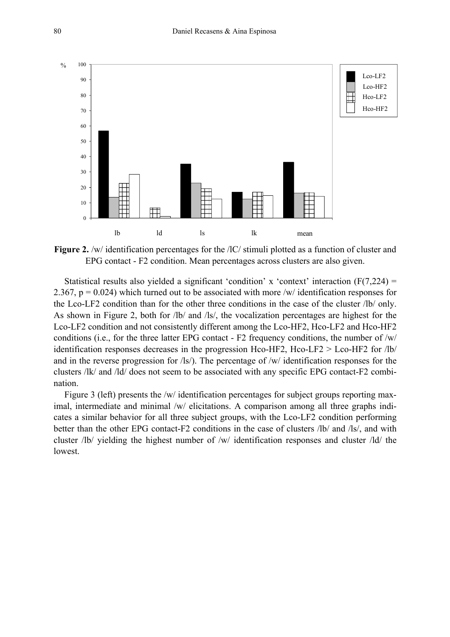

**Figure 2.** /w/ identification percentages for the /IC/ stimuli plotted as a function of cluster and EPG contact - F2 condition. Mean percentages across clusters are also given.

Statistical results also yielded a significant 'condition' x 'context' interaction  $(F(7,224) =$ 2.367,  $p = 0.024$ ) which turned out to be associated with more /w/ identification responses for the Lco-LF2 condition than for the other three conditions in the case of the cluster /lb/ only. As shown in Figure 2, both for /lb/ and /ls/, the vocalization percentages are highest for the Lco-LF2 condition and not consistently different among the Lco-HF2, Hco-LF2 and Hco-HF2 conditions (i.e., for the three latter EPG contact - F2 frequency conditions, the number of /w/ identification responses decreases in the progression Hco-HF2, Hco-LF2 > Lco-HF2 for  $\vert$ lb $\vert$ and in the reverse progression for /ls/). The percentage of /w/ identification responses for the clusters /lk/ and /ld/ does not seem to be associated with any specific EPG contact-F2 combination.

Figure 3 (left) presents the /w/ identification percentages for subject groups reporting maximal, intermediate and minimal /w/ elicitations. A comparison among all three graphs indicates a similar behavior for all three subject groups, with the Lco-LF2 condition performing better than the other EPG contact-F2 conditions in the case of clusters /lb/ and /ls/, and with cluster /lb/ yielding the highest number of /w/ identification responses and cluster /ld/ the lowest.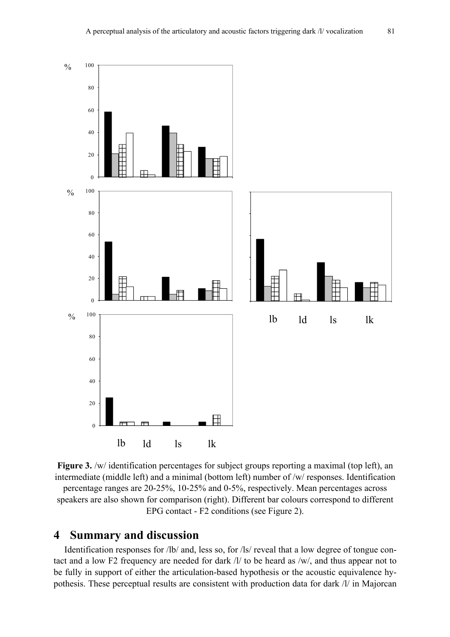

**Figure 3.** /w/ identification percentages for subject groups reporting a maximal (top left), an intermediate (middle left) and a minimal (bottom left) number of /w/ responses. Identification percentage ranges are 20-25%, 10-25% and 0-5%, respectively. Mean percentages across speakers are also shown for comparison (right). Different bar colours correspond to different EPG contact - F2 conditions (see Figure 2).

# **4 Summary and discussion**

Identification responses for /lb/ and, less so, for /ls/ reveal that a low degree of tongue contact and a low F2 frequency are needed for dark /l/ to be heard as /w/, and thus appear not to be fully in support of either the articulation-based hypothesis or the acoustic equivalence hypothesis. These perceptual results are consistent with production data for dark /l/ in Majorcan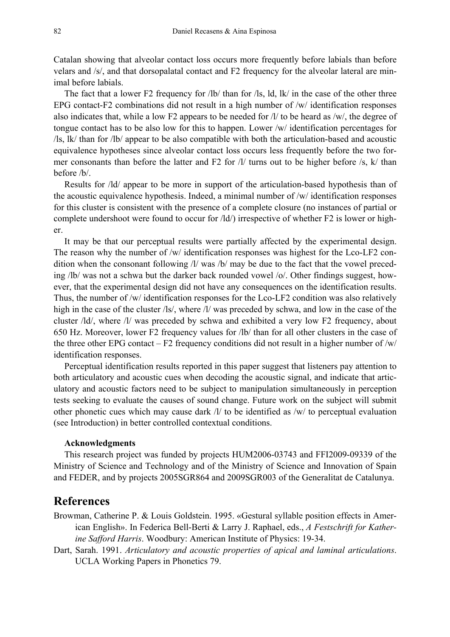Catalan showing that alveolar contact loss occurs more frequently before labials than before velars and /s/, and that dorsopalatal contact and F2 frequency for the alveolar lateral are minimal before labials.

The fact that a lower F2 frequency for /lb/ than for /ls, ld, lk/ in the case of the other three EPG contact-F2 combinations did not result in a high number of /w/ identification responses also indicates that, while a low F2 appears to be needed for /l/ to be heard as /w/, the degree of tongue contact has to be also low for this to happen. Lower /w/ identification percentages for /ls, lk/ than for /lb/ appear to be also compatible with both the articulation-based and acoustic equivalence hypotheses since alveolar contact loss occurs less frequently before the two former consonants than before the latter and F2 for /l/ turns out to be higher before /s, k/ than before /b/.

Results for /ld/ appear to be more in support of the articulation-based hypothesis than of the acoustic equivalence hypothesis. Indeed, a minimal number of /w/ identification responses for this cluster is consistent with the presence of a complete closure (no instances of partial or complete undershoot were found to occur for /ld/) irrespective of whether F2 is lower or higher.

It may be that our perceptual results were partially affected by the experimental design. The reason why the number of /w/ identification responses was highest for the Lco-LF2 condition when the consonant following /l/ was /b/ may be due to the fact that the vowel preceding /lb/ was not a schwa but the darker back rounded vowel /o/. Other findings suggest, however, that the experimental design did not have any consequences on the identification results. Thus, the number of /w/ identification responses for the Lco-LF2 condition was also relatively high in the case of the cluster /ls/, where /l/ was preceded by schwa, and low in the case of the cluster /ld/, where /l/ was preceded by schwa and exhibited a very low F2 frequency, about 650 Hz. Moreover, lower F2 frequency values for /lb/ than for all other clusters in the case of the three other EPG contact – F2 frequency conditions did not result in a higher number of  $/w/$ identification responses.

Perceptual identification results reported in this paper suggest that listeners pay attention to both articulatory and acoustic cues when decoding the acoustic signal, and indicate that articulatory and acoustic factors need to be subject to manipulation simultaneously in perception tests seeking to evaluate the causes of sound change. Future work on the subject will submit other phonetic cues which may cause dark /l/ to be identified as /w/ to perceptual evaluation (see Introduction) in better controlled contextual conditions.

#### **Acknowledgments**

This research project was funded by projects HUM2006-03743 and FFI2009-09339 of the Ministry of Science and Technology and of the Ministry of Science and Innovation of Spain and FEDER, and by projects 2005SGR864 and 2009SGR003 of the Generalitat de Catalunya.

## **References**

- Browman, Catherine P. & Louis Goldstein. 1995. «Gestural syllable position effects in American English». In Federica Bell-Berti & Larry J. Raphael, eds., *A Festschrift for Katherine Safford Harris*. Woodbury: American Institute of Physics: 19-34.
- Dart, Sarah. 1991. *Articulatory and acoustic properties of apical and laminal articulations*. UCLA Working Papers in Phonetics 79.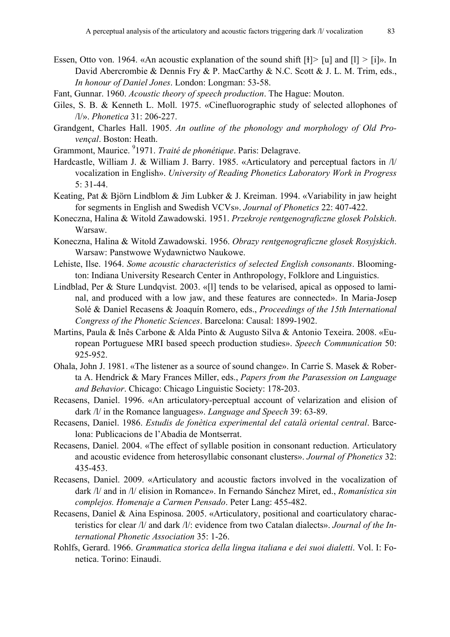- Essen, Otto von. 1964. «An acoustic explanation of the sound shift [ɫ]*>* [u] and [l] *>* [i]». In David Abercrombie & Dennis Fry & P. MacCarthy & N.C. Scott & J. L. M. Trim, eds., *In honour of Daniel Jones*. London: Longman: 53-58.
- Fant, Gunnar. 1960. *Acoustic theory of speech production*. The Hague: Mouton.
- Giles, S. B. & Kenneth L. Moll. 1975. «Cinefluorographic study of selected allophones of /l/». *Phonetica* 31: 206-227.
- Grandgent, Charles Hall. 1905. *An outline of the phonology and morphology of Old Provençal*. Boston: Heath.
- Grammont, Maurice. <sup>9</sup>1971. *Traité de phonétique*. Paris: Delagrave.
- Hardcastle, William J. & William J. Barry. 1985. «Articulatory and perceptual factors in /l/ vocalization in English». *University of Reading Phonetics Laboratory Work in Progress* 5: 31-44.
- Keating, Pat & Björn Lindblom & Jim Lubker & J. Kreiman. 1994. «Variability in jaw height for segments in English and Swedish VCVs». *Journal of Phonetics* 22: 407-422.
- Koneczna, Halina & Witold Zawadowski. 1951. *Przekroje rentgenograficzne glosek Polskich*. Warsaw.
- Koneczna, Halina & Witold Zawadowski. 1956. *Obrazy rentgenograficzne glosek Rosyjskich*. Warsaw: Panstwowe Wydawnictwo Naukowe.
- Lehiste, Ilse. 1964. *Some acoustic characteristics of selected English consonants*. Bloomington: Indiana University Research Center in Anthropology, Folklore and Linguistics.
- Lindblad, Per & Sture Lundqvist. 2003. «[l] tends to be velarised, apical as opposed to laminal, and produced with a low jaw, and these features are connected». In Maria-Josep Solé & Daniel Recasens & Joaquín Romero, eds., *Proceedings of the 15th International Congress of the Phonetic Sciences*. Barcelona: Causal: 1899-1902.
- Martins, Paula & Inês Carbone & Alda Pinto & Augusto Silva & Antonio Texeira. 2008. «European Portuguese MRI based speech production studies». *Speech Communication* 50: 925-952.
- Ohala, John J. 1981. «The listener as a source of sound change». In Carrie S. Masek & Roberta A. Hendrick & Mary Frances Miller, eds., *Papers from the Parasession on Language and Behavior*. Chicago: Chicago Linguistic Society: 178-203.
- Recasens, Daniel. 1996. «An articulatory-perceptual account of velarization and elision of dark /l/ in the Romance languages». *Language and Speech* 39: 63-89.
- Recasens, Daniel. 1986. *Estudis de fonètica experimental del català oriental central*. Barcelona: Publicacions de l'Abadia de Montserrat.
- Recasens, Daniel. 2004. «The effect of syllable position in consonant reduction. Articulatory and acoustic evidence from heterosyllabic consonant clusters». *Journal of Phonetics* 32: 435-453.
- Recasens, Daniel. 2009. «Articulatory and acoustic factors involved in the vocalization of dark /l/ and in /l/ elision in Romance». In Fernando Sánchez Miret, ed., *Romanística sin complejos. Homenaje a Carmen Pensado*. Peter Lang: 455-482.
- Recasens, Daniel & Aina Espinosa. 2005. «Articulatory, positional and coarticulatory characteristics for clear /l/ and dark /l/: evidence from two Catalan dialects». *Journal of the International Phonetic Association* 35: 1-26.
- Rohlfs, Gerard. 1966. *Grammatica storica della lingua italiana e dei suoi dialetti*. Vol. I: Fonetica. Torino: Einaudi.